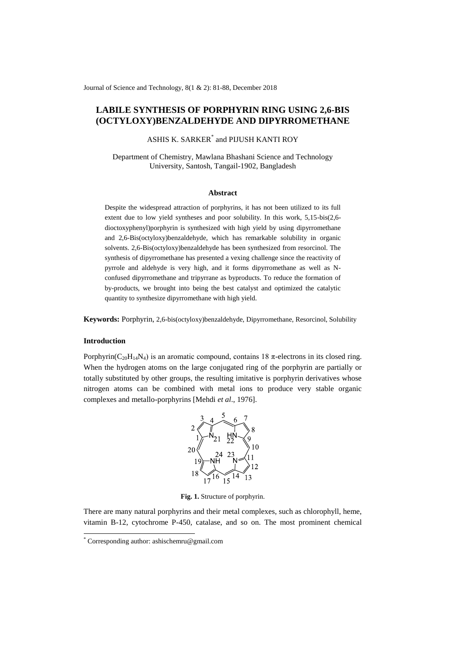Journal of Science and Technology, 8(1 & 2): 81-88, December 2018

# **LABILE SYNTHESIS OF PORPHYRIN RING USING 2,6-BIS (OCTYLOXY)BENZALDEHYDE AND DIPYRROMETHANE**

ASHIS K. SARKER\* and PIJUSH KANTI ROY

Department of Chemistry, Mawlana Bhashani Science and Technology University, Santosh, Tangail-1902, Bangladesh

#### **Abstract**

Despite the widespread attraction of porphyrins, it has not been utilized to its full extent due to low yield syntheses and poor solubility. In this work, 5,15-bis(2,6 dioctoxyphenyl)porphyrin is synthesized with high yield by using dipyrromethane and 2,6-Bis(octyloxy)benzaldehyde, which has remarkable solubility in organic solvents. 2,6-Bis(octyloxy)benzaldehyde has been synthesized from resorcinol. The synthesis of dipyrromethane has presented a vexing challenge since the reactivity of pyrrole and aldehyde is very high, and it forms dipyrromethane as well as Nconfused dipyrromethane and tripyrrane as byproducts. To reduce the formation of by-products, we brought into being the best catalyst and optimized the catalytic quantity to synthesize dipyrromethane with high yield.

**Keywords:** Porphyrin, 2,6-bis(octyloxy)benzaldehyde, Dipyrromethane, Resorcinol, Solubility

## **Introduction**

-

Porphyrin( $C_{20}H_{14}N_4$ ) is an aromatic compound, contains 18  $\pi$ -electrons in its closed ring. When the hydrogen atoms on the large conjugated ring of the porphyrin are partially or totally substituted by other groups, the resulting imitative is porphyrin derivatives whose nitrogen atoms can be combined with metal ions to produce very stable organic complexes and metallo-porphyrins [Mehdi *et al*., 1976].



**Fig. 1.** Structure of porphyrin.

There are many natural porphyrins and their metal complexes, such as chlorophyll, heme, vitamin B-12, cytochrome P-450, catalase, and so on. The most prominent chemical

<sup>\*</sup> Corresponding author[: ashischemru@gmail.com](mailto:ashischemru@gmail.com)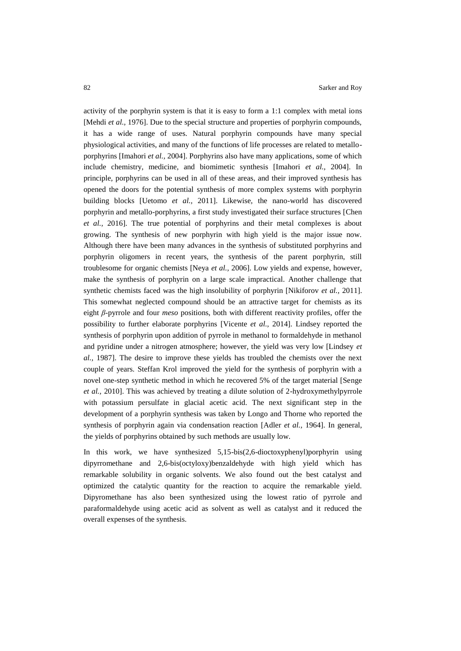activity of the porphyrin system is that it is easy to form a 1:1 complex with metal ions [Mehdi *et al.,* 1976]. Due to the special structure and properties of porphyrin compounds, it has a wide range of uses. Natural porphyrin compounds have many special physiological activities, and many of the functions of life processes are related to metalloporphyrins [Imahori *et al.,* 2004]. Porphyrins also have many applications, some of which include chemistry, medicine, and biomimetic synthesis [Imahori *et al.,* 2004]. In principle, porphyrins can be used in all of these areas, and their improved synthesis has opened the doors for the potential synthesis of more complex systems with porphyrin building blocks [Uetomo *et al.,* 2011]. Likewise, the nano-world has discovered porphyrin and metallo-porphyrins, a first study investigated their surface structures [Chen *et al.,* 2016]. The true potential of porphyrins and their metal complexes is about growing. The synthesis of new porphyrin with high yield is the major issue now. Although there have been many advances in the synthesis of substituted porphyrins and porphyrin oligomers in recent years, the synthesis of the parent porphyrin, still troublesome for organic chemists [Neya *et al.,* 2006]. Low yields and expense, however, make the synthesis of porphyrin on a large scale impractical. Another challenge that synthetic chemists faced was the high insolubility of porphyrin [Nikiforov *et al.,* 2011]. This somewhat neglected compound should be an attractive target for chemists as its eight *β*-pyrrole and four *meso* positions, both with different reactivity profiles, offer the possibility to further elaborate porphyrins [Vicente *et al.,* 2014]. Lindsey reported the synthesis of porphyrin upon addition of pyrrole in methanol to formaldehyde in methanol and pyridine under a nitrogen atmosphere; however, the yield was very low [Lindsey *et al.,* 1987]. The desire to improve these yields has troubled the chemists over the next couple of years. Steffan Krol improved the yield for the synthesis of porphyrin with a novel one-step synthetic method in which he recovered 5% of the target material [Senge *et al.,* 2010]. This was achieved by treating a dilute solution of 2-hydroxymethylpyrrole with potassium persulfate in glacial acetic acid. The next significant step in the development of a porphyrin synthesis was taken by Longo and Thorne who reported the synthesis of porphyrin again via condensation reaction [Adler *et al.,* 1964]. In general, the yields of porphyrins obtained by such methods are usually low.

In this work, we have synthesized 5,15-bis(2,6-dioctoxyphenyl)porphyrin using dipyrromethane and 2,6-bis(octyloxy)benzaldehyde with high yield which has remarkable solubility in organic solvents. We also found out the best catalyst and optimized the catalytic quantity for the reaction to acquire the remarkable yield. Dipyromethane has also been synthesized using the lowest ratio of pyrrole and paraformaldehyde using acetic acid as solvent as well as catalyst and it reduced the overall expenses of the synthesis.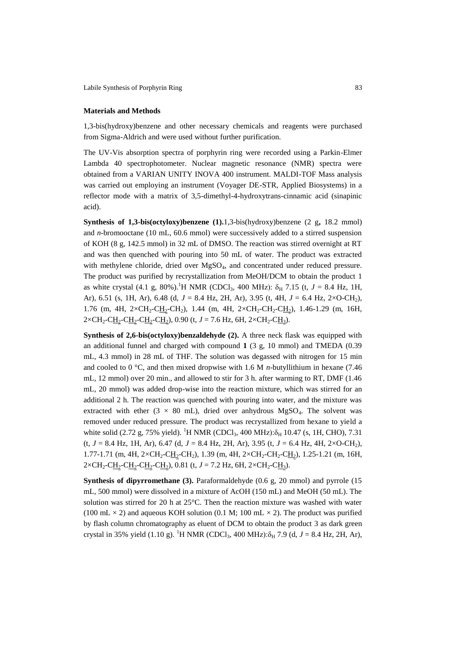Labile Synthesis of Porphyrin Ring 83

## **Materials and Methods**

1,3-bis(hydroxy)benzene and other necessary chemicals and reagents were purchased from Sigma-Aldrich and were used without further purification.

The UV-Vis absorption spectra of porphyrin ring were recorded using a Parkin-Elmer Lambda 40 spectrophotometer. Nuclear magnetic resonance (NMR) spectra were obtained from a VARIAN UNITY INOVA 400 instrument. MALDI-TOF Mass analysis was carried out employing an instrument (Voyager DE-STR, Applied Biosystems) in a reflector mode with a matrix of 3,5-dimethyl-4-hydroxytrans-cinnamic acid (sinapinic acid).

**Synthesis of 1,3-bis(octyloxy)benzene (1).**1,3-bis(hydroxy)benzene (2 g**,** 18.2 mmol) and *n*-bromooctane (10 mL, 60.6 mmol) were successively added to a stirred suspension of KOH (8 g, 142.5 mmol) in 32 mL of DMSO. The reaction was stirred overnight at RT and was then quenched with pouring into 50 mL of water. The product was extracted with methylene chloride, dried over MgSO<sub>4</sub>, and concentrated under reduced pressure. The product was purified by recrystallization from MeOH/DCM to obtain the product 1 as white crystal (4.1 g, 80%).<sup>1</sup>H NMR (CDCl<sub>3</sub>, 400 MHz):  $\delta_H$  7.15 (t, *J* = 8.4 Hz, 1H, Ar), 6.51 (s, 1H, Ar), 6.48 (d, *J* = 8.4 Hz, 2H, Ar), 3.95 (t, 4H, *J* = 6.4 Hz, 2×O-CH2), 1.76 (m, 4H,  $2\times CH_2-CH_2-CH_2$ ), 1.44 (m, 4H,  $2\times CH_2-CH_2-CH_2$ ), 1.46-1.29 (m, 16H,  $2 \times CH_2-C_{12}-CH_2-CH_2-CH_2$ ), 0.90 (t,  $J = 7.6$  Hz, 6H,  $2 \times CH_2-C_{13}$ ).

**Synthesis of 2,6-bis(octyloxy)benzaldehyde (2).** A three neck flask was equipped with an additional funnel and charged with compound **1** (3 g, 10 mmol) and TMEDA (0.39 mL, 4.3 mmol) in 28 mL of THF. The solution was degassed with nitrogen for 15 min and cooled to 0 °C, and then mixed dropwise with 1.6 M *n*-butyllithium in hexane (7.46 mL, 12 mmol) over 20 min., and allowed to stir for 3 h. after warming to RT, DMF (1.46 mL, 20 mmol) was added drop-wise into the reaction mixture, which was stirred for an additional 2 h. The reaction was quenched with pouring into water, and the mixture was extracted with ether (3  $\times$  80 mL), dried over anhydrous MgSO<sub>4</sub>. The solvent was removed under reduced pressure. The product was recrystallized from hexane to yield a white solid (2.72 g, 75% yield). <sup>1</sup>H NMR (CDCl<sub>3</sub>, 400 MHz): $\delta_H$  10.47 (s, 1H, CHO), 7.31 (t, *J* = 8.4 Hz, 1H, Ar), 6.47 (d, *J* = 8.4 Hz, 2H, Ar), 3.95 (t, *J* = 6.4 Hz, 4H, 2×O-CH2), 1.77-1.71 (m, 4H, 2×CH<sub>2</sub>-CH<sub>2</sub>-CH<sub>2</sub>), 1.39 (m, 4H, 2×CH<sub>2</sub>-CH<sub>2</sub>-CH<sub>2</sub>), 1.25-1.21 (m, 16H,  $2 \times CH_2-CH_2-CH_2-CH_2-CH_2$ ), 0.81 (t, *J* = 7.2 Hz, 6H, 2 $\times CH_2-CH_3$ ).

**Synthesis of dipyrromethane (3).** Paraformaldehyde (0.6 g, 20 mmol) and pyrrole (15 mL, 500 mmol) were dissolved in a mixture of AcOH (150 mL) and MeOH (50 mL). The solution was stirred for 20 h at 25°C. Then the reaction mixture was washed with water (100 mL  $\times$  2) and aqueous KOH solution (0.1 M; 100 mL  $\times$  2). The product was purified by flash column chromatography as eluent of DCM to obtain the product 3 as dark green crystal in 35% yield (1.10 g). <sup>1</sup>H NMR (CDCl<sub>3</sub>, 400 MHz): $\delta_H$  7.9 (d, *J* = 8.4 Hz, 2H, Ar),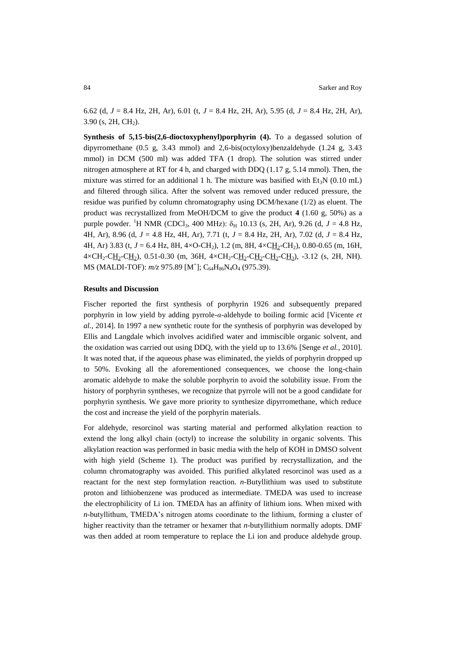6.62 (d, *J* = 8.4 Hz, 2H, Ar), 6.01 (t, *J* = 8.4 Hz, 2H, Ar), 5.95 (d, *J* = 8.4 Hz, 2H, Ar),  $3.90$  (s,  $2H$ ,  $CH<sub>2</sub>$ ).

**Synthesis of 5,15-bis(2,6-dioctoxyphenyl)porphyrin (4).** To a degassed solution of dipyrromethane (0.5 g, 3.43 mmol) and 2,6-bis(octyloxy)benzaldehyde (1.24 g, 3.43 mmol) in DCM (500 ml) was added TFA (1 drop). The solution was stirred under nitrogen atmosphere at RT for 4 h, and charged with DDQ (1.17 g, 5.14 mmol). Then, the mixture was stirred for an additional 1 h. The mixture was basified with  $Et_3N$  (0.10 mL) and filtered through silica. After the solvent was removed under reduced pressure, the residue was purified by column chromatography using DCM/hexane (1/2) as eluent. The product was recrystallized from MeOH/DCM to give the product **4** (1.60 g, 50%) as a purple powder. <sup>1</sup>H NMR (CDCl<sub>3</sub>, 400 MHz):  $\delta_H$  10.13 (s, 2H, Ar), 9.26 (d, *J* = 4.8 Hz, 4H, Ar), 8.96 (d, *J* = 4.8 Hz, 4H, Ar), 7.71 (t, *J* = 8.4 Hz, 2H, Ar), 7.02 (d, *J* = 8.4 Hz, 4H, Ar) 3.83 (t, *J* = 6.4 Hz, 8H, 4×O-CH<sub>2</sub>), 1.2 (m, 8H, 4×C<u>H</u><sub>2</sub>-CH<sub>2</sub>), 0.80-0.65 (m, 16H,  $4 \times CH_2-CH_2-CH_2$ ), 0.51-0.30 (m, 36H,  $4 \times CH_2-CH_2-CH_2-CH_2-CH_3$ ), -3.12 (s, 2H, NH). MS (MALDI-TOF):  $m/z$  975.89 [M<sup>+</sup>]; C<sub>64</sub>H<sub>86</sub>N<sub>4</sub>O<sub>4</sub> (975.39).

#### **Results and Discussion**

Fischer reported the first synthesis of porphyrin 1926 and subsequently prepared porphyrin in low yield by adding pyrrole-*α*-aldehyde to boiling formic acid [Vicente *et al.,* 2014]. In 1997 a new synthetic route for the synthesis of porphyrin was developed by Ellis and Langdale which involves acidified water and immiscible organic solvent, and the oxidation was carried out using DDQ, with the yield up to 13.6% [Senge *et al.,* 2010]. It was noted that, if the aqueous phase was eliminated, the yields of porphyrin dropped up to 50%. Evoking all the aforementioned consequences, we choose the long-chain aromatic aldehyde to make the soluble porphyrin to avoid the solubility issue. From the history of porphyrin syntheses, we recognize that pyrrole will not be a good candidate for porphyrin synthesis. We gave more priority to synthesize dipyrromethane, which reduce the cost and increase the yield of the porphyrin materials.

For aldehyde, resorcinol was starting material and performed alkylation reaction to extend the long alkyl chain (octyl) to increase the solubility in organic solvents. This alkylation reaction was performed in basic media with the help of KOH in DMSO solvent with high yield (Scheme 1). The product was purified by recrystallization, and the column chromatography was avoided. This purified alkylated resorcinol was used as a reactant for the next step formylation reaction. *n*-Butyllithium was used to substitute proton and lithiobenzene was produced as intermediate. TMEDA was used to increase the electrophilicity of Li ion. TMEDA has an affinity of lithium ions. When mixed with *n*-butyllithum, TMEDA's nitrogen atoms coordinate to the lithium, forming a cluster of higher reactivity than the tetramer or hexamer that *n*-butyllithium normally adopts. DMF was then added at room temperature to replace the Li ion and produce aldehyde group.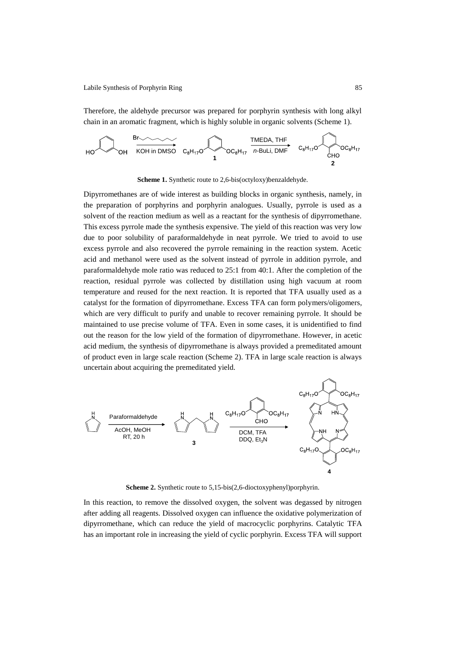Therefore, the aldehyde precursor was prepared for porphyrin synthesis with long alkyl chain in an aromatic fragment, which is highly soluble in organic solvents (Scheme 1).



**Scheme 1.** Synthetic route to 2,6-bis(octyloxy)benzaldehyde.

Dipyrromethanes are of wide interest as building blocks in organic synthesis, namely, in the preparation of porphyrins and porphyrin analogues. Usually, pyrrole is used as a solvent of the reaction medium as well as a reactant for the synthesis of dipyrromethane. This excess pyrrole made the synthesis expensive. The yield of this reaction was very low due to poor solubility of paraformaldehyde in neat pyrrole. We tried to avoid to use excess pyrrole and also recovered the pyrrole remaining in the reaction system. Acetic acid and methanol were used as the solvent instead of pyrrole in addition pyrrole, and paraformaldehyde mole ratio was reduced to 25:1 from 40:1. After the completion of the reaction, residual pyrrole was collected by distillation using high vacuum at room temperature and reused for the next reaction. It is reported that TFA usually used as a catalyst for the formation of dipyrromethane. Excess TFA can form polymers/oligomers, which are very difficult to purify and unable to recover remaining pyrrole. It should be maintained to use precise volume of TFA. Even in some cases, it is unidentified to find out the reason for the low yield of the formation of dipyrromethane. However, in acetic acid medium, the synthesis of dipyrromethane is always provided a premeditated amount of product even in large scale reaction (Scheme 2). TFA in large scale reaction is always uncertain about acquiring the premeditated yield.



**Scheme 2.** Synthetic route to 5,15-bis(2,6-dioctoxyphenyl)porphyrin.

In this reaction, to remove the dissolved oxygen, the solvent was degassed by nitrogen after adding all reagents. Dissolved oxygen can influence the oxidative polymerization of dipyrromethane, which can reduce the yield of macrocyclic porphyrins. Catalytic TFA has an important role in increasing the yield of cyclic porphyrin. Excess TFA will support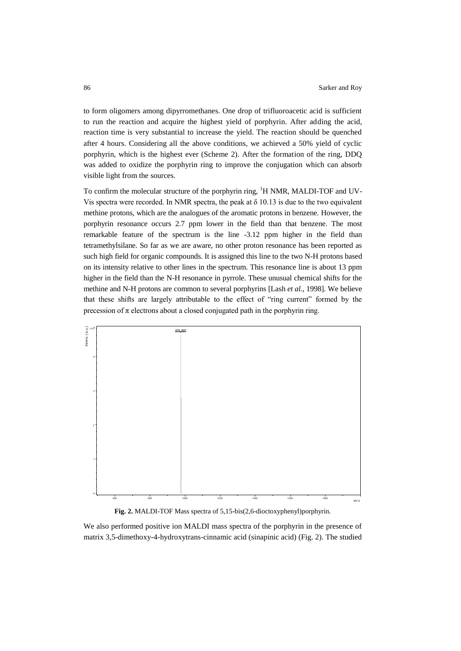to form oligomers among dipyrromethanes. One drop of trifluoroacetic acid is sufficient to run the reaction and acquire the highest yield of porphyrin. After adding the acid, reaction time is very substantial to increase the yield. The reaction should be quenched after 4 hours. Considering all the above conditions, we achieved a 50% yield of cyclic porphyrin, which is the highest ever (Scheme 2). After the formation of the ring, DDQ was added to oxidize the porphyrin ring to improve the conjugation which can absorb visible light from the sources.

To confirm the molecular structure of the porphyrin ring,  ${}^{1}H$  NMR, MALDI-TOF and UV-Vis spectra were recorded. In NMR spectra, the peak at  $\delta$  10.13 is due to the two equivalent methine protons, which are the analogues of the aromatic protons in benzene. However, the porphyrin resonance occurs 2.7 ppm lower in the field than that benzene. The most remarkable feature of the spectrum is the line -3.12 ppm higher in the field than tetramethylsilane. So far as we are aware, no other proton resonance has been reported as such high field for organic compounds. It is assigned this line to the two N-H protons based on its intensity relative to other lines in the spectrum. This resonance line is about 13 ppm higher in the field than the N-H resonance in pyrrole. These unusual chemical shifts for the methine and N-H protons are common to several porphyrins [Lash *et al.,* 1998]. We believe that these shifts are largely attributable to the effect of "ring current" formed by the precession of  $\pi$  electrons about a closed conjugated path in the porphyrin ring.



**Fig. 2.** MALDI-TOF Mass spectra of 5,15-bis(2,6-dioctoxyphenyl)porphyrin.

We also performed positive ion MALDI mass spectra of the porphyrin in the presence of matrix 3,5-dimethoxy-4-hydroxytrans-cinnamic acid (sinapinic acid) (Fig. 2). The studied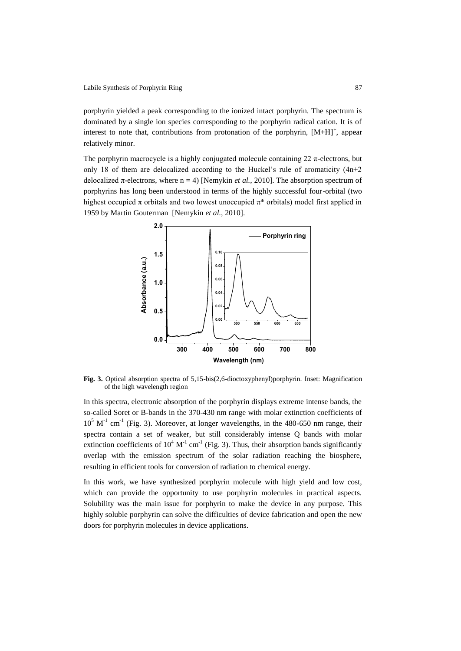porphyrin yielded a peak corresponding to the ionized intact porphyrin. The spectrum is dominated by a single ion species corresponding to the porphyrin radical cation. It is of interest to note that, contributions from protonation of the porphyrin,  $[M+H]^+$ , appear relatively minor.

The porphyrin macrocycle is a highly conjugated molecule containing  $22 \pi$ -electrons, but only 18 of them are delocalized according to the Huckel's rule of aromaticity  $(4n+2)$ delocalized  $\pi$ -electrons, where  $n = 4$ ) [Nemykin *et al.*, 2010]. The absorption spectrum of porphyrins has long been understood in terms of the highly successful four-orbital (two highest occupied  $\pi$  orbitals and two lowest unoccupied  $\pi^*$  orbitals) model first applied in 1959 by Martin Gouterman [Nemykin *et al.,* 2010].



**Fig. 3.** Optical absorption spectra of 5,15-bis(2,6-dioctoxyphenyl)porphyrin. Inset: Magnification of the high wavelength region

In this spectra, electronic absorption of the porphyrin displays extreme intense bands, the so-called Soret or B-bands in the 370-430 nm range with molar extinction coefficients of  $10<sup>5</sup>$  M<sup>-1</sup> cm<sup>-1</sup> (Fig. 3). Moreover, at longer wavelengths, in the 480-650 nm range, their spectra contain a set of weaker, but still considerably intense Q bands with molar extinction coefficients of  $10^4 \text{ M}^{-1} \text{ cm}^{-1}$  (Fig. 3). Thus, their absorption bands significantly overlap with the emission spectrum of the solar radiation reaching the biosphere, resulting in efficient tools for conversion of radiation to chemical energy.

In this work, we have synthesized porphyrin molecule with high yield and low cost, which can provide the opportunity to use porphyrin molecules in practical aspects. Solubility was the main issue for porphyrin to make the device in any purpose. This highly soluble porphyrin can solve the difficulties of device fabrication and open the new doors for porphyrin molecules in device applications.